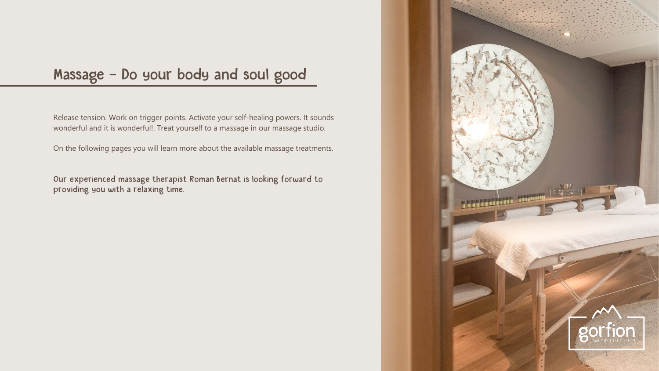# Massage – Do your body and soul good

Release tension. Work on trigger points. Activate your self-healing powers. It sounds wonderful and it is wonderful!. Treat yourself to a massage in our massage studio.

On the following pages you will learn more about the available massage treatments.

Our experienced massage therapist Roman Bernat is looking forward to providing you with a relaxing time.

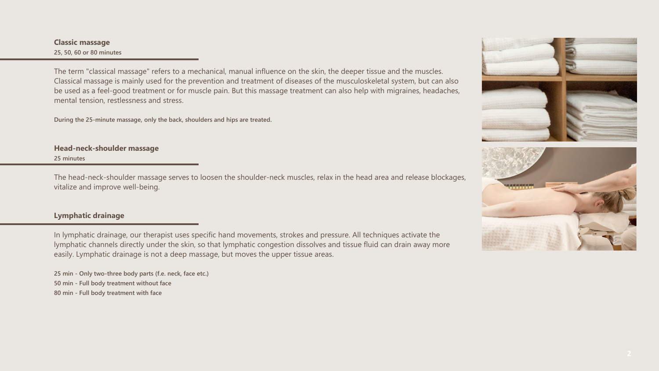#### **Classic massage 25, 50, 60 or 80 minutes**

The term "classical massage" refers to a mechanical, manual influence on the skin, the deeper tissue and the muscles. Classical massage is mainly used for the prevention and treatment of diseases of the musculoskeletal system, but can also be used as a feel-good treatment or for muscle pain. But this massage treatment can also help with migraines, headaches, mental tension, restlessness and stress.

**During the 25-minute massage, only the back, shoulders and hips are treated.**

## **Head-neck-shoulder massage**

**25 minutes**

The head-neck-shoulder massage serves to loosen the shoulder-neck muscles, relax in the head area and release blockages, vitalize and improve well-being.

#### **Lymphatic drainage**

In lymphatic drainage, our therapist uses specific hand movements, strokes and pressure. All techniques activate the lymphatic channels directly under the skin, so that lymphatic congestion dissolves and tissue fluid can drain away more easily. Lymphatic drainage is not a deep massage, but moves the upper tissue areas.

**25 min - Only two-three body parts (f.e. neck, face etc.) 50 min - Full body treatment without face 80 min - Full body treatment with face**

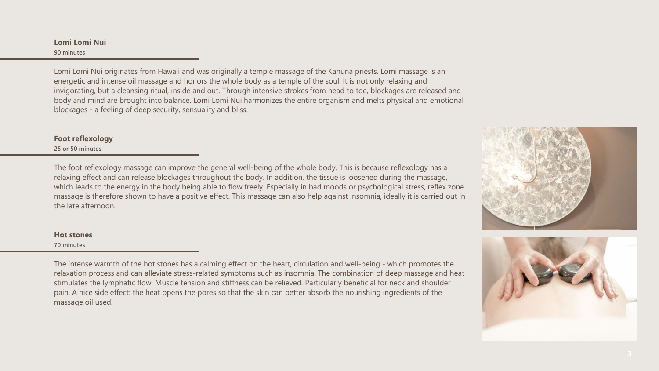**Lomi Lomi Nui 90 minutes**

Lomi Lomi Nui originates from Hawaii and was originally a temple massage of the Kahuna priests. Lomi massage is an energetic and intense oil massage and honors the whole body as a temple of the soul. It is not only relaxing and invigorating, but a cleansing ritual, inside and out. Through intensive strokes from head to toe, blockages are released and body and mind are brought into balance. Lomi Lomi Nui harmonizes the entire organism and melts physical and emotional blockages - a feeling of deep security, sensuality and bliss.

#### **Foot reflexology**

**25 or 50 minutes**

The foot reflexology massage can improve the general well-being of the whole body. This is because reflexology has a relaxing effect and can release blockages throughout the body. In addition, the tissue is loosened during the massage, which leads to the energy in the body being able to flow freely. Especially in bad moods or psychological stress, reflex zone massage is therefore shown to have a positive effect. This massage can also help against insomnia, ideally it is carried out in the late afternoon.





## **Hot stones**

**70 minutes**

The intense warmth of the hot stones has a calming effect on the heart, circulation and well-being - which promotes the relaxation process and can alleviate stress-related symptoms such as insomnia. The combination of deep massage and heat stimulates the lymphatic flow. Muscle tension and stiffness can be relieved. Particularly beneficial for neck and shoulder pain. A nice side effect: the heat opens the pores so that the skin can better absorb the nourishing ingredients of the massage oil used.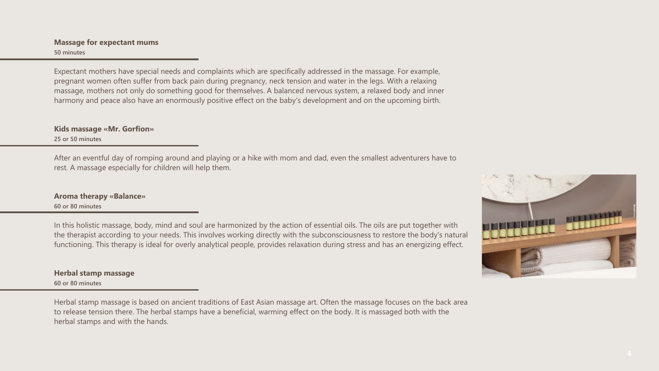#### **Massage for expectant mums 50 minutes**

Expectant mothers have special needs and complaints which are specifically addressed in the massage. For example, pregnant women often suffer from back pain during pregnancy, neck tension and water in the legs. With a relaxing massage, mothers not only do something good for themselves. A balanced nervous system, a relaxed body and inner harmony and peace also have an enormously positive effect on the baby's development and on the upcoming birth.

**Kids massage «Mr. Gorfion» 25 or 50 minutes**

After an eventful day of romping around and playing or a hike with mom and dad, even the smallest adventurers have to rest. A massage especially for children will help them.

### **Aroma therapy «Balance» 60 or 80 minutes**

In this holistic massage, body, mind and soul are harmonized by the action of essential oils. The oils are put together with the therapist according to your needs. This involves working directly with the subconsciousness to restore the body's natural functioning. This therapy is ideal for overly analytical people, provides relaxation during stress and has an energizing effect.

**Herbal stamp massage 60 or 80 minutes**

Herbal stamp massage is based on ancient traditions of East Asian massage art. Often the massage focuses on the back area to release tension there. The herbal stamps have a beneficial, warming effect on the body. It is massaged both with the herbal stamps and with the hands.